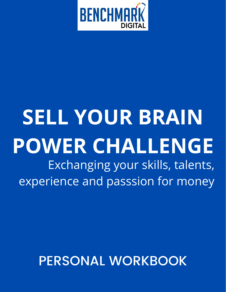

# **SELL YOUR BRAIN POWER CHALLENGE** Exchanging your skills, talents, experience and passsion for money

# PERSONAL WORKBOOK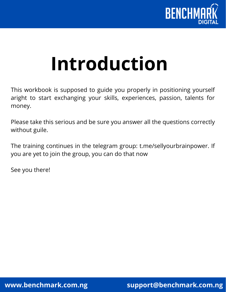

# **Introduction**

This workbook is supposed to guide you properly in positioning yourself aright to start exchanging your skills, experiences, passion, talents for money.

Please take this serious and be sure you answer all the questions correctly without guile.

The training continues in the telegram group: t.me/sellyourbrainpower. If you are yet to join the group, you can do that now

See you there!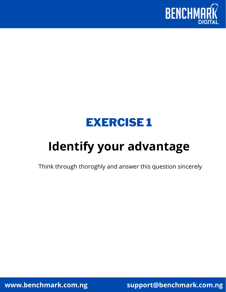



# **Identify your advantage**

Think through thoroghly and answer this question sincerely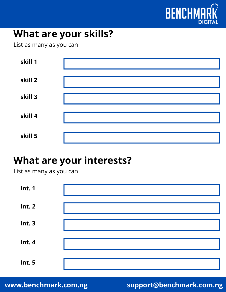

### **What are your skills?**

List as many as you can

| skill 1 |  |
|---------|--|
| skill 2 |  |
| skill 3 |  |
| skill 4 |  |
| skill 5 |  |

### **What are your interests?**

List as many as you can

| <b>Int. 1</b> |  |
|---------------|--|
| <b>Int. 2</b> |  |
| Int.3         |  |
| Int.4         |  |
| <b>Int. 5</b> |  |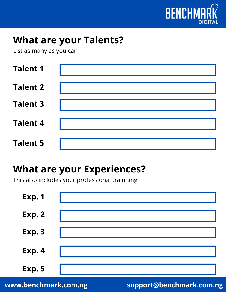

### **What are your Talents?**

List as many as you can

| <b>Talent 1</b> |  |
|-----------------|--|
| <b>Talent 2</b> |  |
| <b>Talent 3</b> |  |
| <b>Talent 4</b> |  |
| <b>Talent 5</b> |  |

### **What are your Experiences?**

This also includes your professional trainning

| <b>Exp. 1</b> |  |
|---------------|--|
| Exp. 2        |  |
| Exp. 3        |  |
| Exp. 4        |  |
| Exp. 5        |  |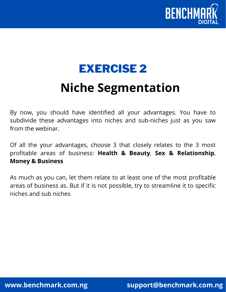

# **Niche Segmentation** EXERCISE 2

By now, you should have identified all your advantages. You have to subdivide these advantages into niches and sub-niches just as you saw from the webinar.

Of all the your advantages, choose 3 that closely relates to the 3 most profitable areas of business: **Health & Beauty**, **Sex & Relationship**, **Money & Business**

As much as you can, let them relate to at least one of the most profitable areas of business as. But if it is not possible, try to streamline it to specific niches and sub niches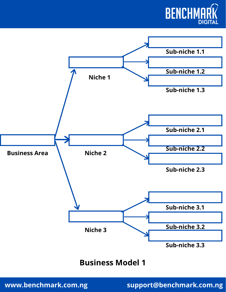



#### **Business Model 1**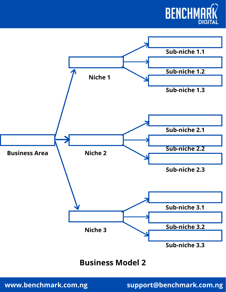



#### **Business Model 2**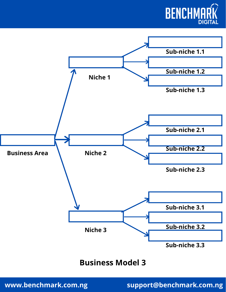



#### **Business Model 3**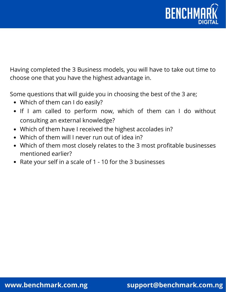

Having completed the 3 Business models, you will have to take out time to choose one that you have the highest advantage in.

Some questions that will guide you in choosing the best of the 3 are;

- Which of them can I do easily?
- If I am called to perform now, which of them can I do without consulting an external knowledge?
- Which of them have I received the highest accolades in?
- Which of them will I never run out of idea in?
- Which of them most closely relates to the 3 most profitable businesses mentioned earlier?
- Rate your self in a scale of 1 10 for the 3 businesses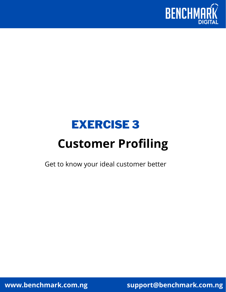

## EXERCISE 3

# **Customer Profiling**

Get to know your ideal customer better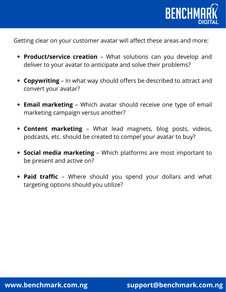

Getting clear on your customer avatar will affect these areas and more:

- **Product/service creation** What solutions can you develop and deliver to your avatar to anticipate and solve their problems?
- **Copywriting** In what way should offers be described to attract and convert your avatar?
- **Email marketing** Which avatar should receive one type of email marketing campaign versus another?
- **Content marketing** What lead magnets, blog posts, videos, podcasts, etc. should be created to compel your avatar to buy?
- **Social media marketing** Which platforms are most important to be present and active on?
- **Paid traffic** Where should you spend your dollars and what targeting options should you utilize?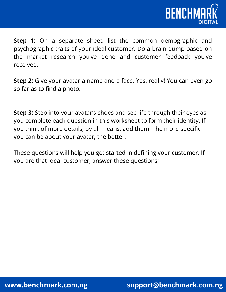

**Step 1:** On a separate sheet, list the common demographic and psychographic traits of your ideal customer. Do a brain dump based on the market research you've done and customer feedback you've received.

**Step 2:** Give your avatar a name and a face. Yes, really! You can even go so far as to find a photo.

**Step 3:** Step into your avatar's shoes and see life through their eyes as you complete each question in this worksheet to form their identity. If you think of more details, by all means, add them! The more specific you can be about your avatar, the better.

These questions will help you get started in defining your customer. If you are that ideal customer, answer these questions;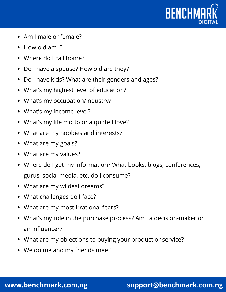

- Am I male or female?
- How old am I?
- Where do I call home?
- Do I have a spouse? How old are they?
- Do I have kids? What are their genders and ages?
- What's my highest level of education?
- What's my occupation/industry?
- What's my income level?
- What's my life motto or a quote I love?
- What are my hobbies and interests?
- What are my goals?
- What are my values?
- Where do I get my information? What books, blogs, conferences, gurus, social media, etc. do I consume?
- What are my wildest dreams?
- What challenges do I face?
- What are my most irrational fears?
- What's my role in the purchase process? Am I a decision-maker or an influencer?
- What are my objections to buying your product or service?
- We do me and my friends meet?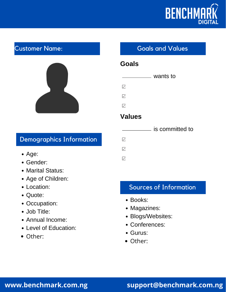

#### Customer Name:



#### Demographics Information and  $\blacksquare$

- Age:
- Gender:
- Marital Status:
- Age of Children:
- Location:
- Quote:
- Occupation:
- Job Title:
- Annual Income:
- Level of Education:
- Other:

#### **Goals and Values**

#### **Goals**

#### wants to

 $\triangledown$ 

 $\triangledown$ 

 $\triangledown$ 

#### **Values**

#### **is committed to**

 $\triangledown$ 

#### Sources of Information

- Books:
- Magazines:
- Blogs/Websites:
- Conferences:
- Gurus:
- Other:

#### **www.benchmark.com.ng support@benchmark.com.ng**

# $\triangledown$